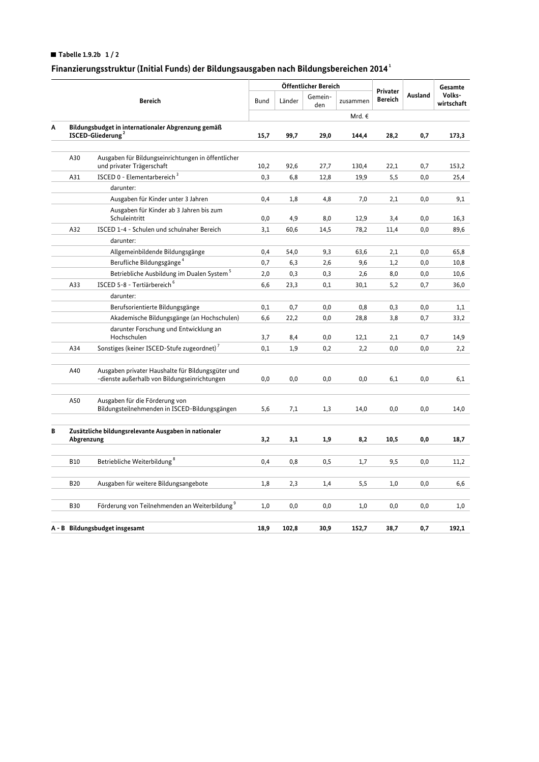## Tabelle 1.9.2b  $1/2$

## Finanzierungsstruktur (Initial Funds) der Bildungsausgaben nach Bildungsbereichen 2014 $^{\rm 1}$

|   |                                                                        | Bereich                                                                                           | Öffentlicher Bereich |                          |          |                                   |         |                      | Gesamte |
|---|------------------------------------------------------------------------|---------------------------------------------------------------------------------------------------|----------------------|--------------------------|----------|-----------------------------------|---------|----------------------|---------|
|   |                                                                        |                                                                                                   | Bund                 | Gemein-<br>Länder<br>den | zusammen | <b>Privater</b><br><b>Bereich</b> | Ausland | Volks-<br>wirtschaft |         |
|   |                                                                        |                                                                                                   | Mrd. €               |                          |          |                                   |         |                      |         |
| Α | Bildungsbudget in internationaler Abgrenzung gemäß<br>ISCED-Gliederung |                                                                                                   | 15,7                 | 99,7                     | 29,0     | 144,4                             | 28,2    | 0,7                  | 173,3   |
|   |                                                                        |                                                                                                   |                      |                          |          |                                   |         |                      |         |
|   | A30                                                                    | Ausgaben für Bildungseinrichtungen in öffentlicher<br>und privater Trägerschaft                   | 10,2                 | 92,6                     | 27,7     | 130,4                             | 22,1    | 0,7                  | 153,2   |
|   | A31                                                                    | ISCED 0 - Elementarbereich <sup>3</sup>                                                           | 0,3                  | 6,8                      | 12,8     | 19,9                              | 5,5     | 0,0                  | 25,4    |
|   |                                                                        | darunter:                                                                                         |                      |                          |          |                                   |         |                      |         |
|   |                                                                        | Ausgaben für Kinder unter 3 Jahren                                                                | 0,4                  | 1,8                      | 4,8      | 7,0                               | 2,1     | 0,0                  | 9,1     |
|   |                                                                        | Ausgaben für Kinder ab 3 Jahren bis zum<br>Schuleintritt                                          | 0,0                  | 4,9                      | 8,0      | 12,9                              | 3,4     | 0,0                  | 16,3    |
|   | A32                                                                    | ISCED 1-4 - Schulen und schulnaher Bereich                                                        | 3,1                  | 60,6                     | 14,5     | 78,2                              | 11,4    | 0,0                  | 89,6    |
|   |                                                                        | darunter:                                                                                         |                      |                          |          |                                   |         |                      |         |
|   |                                                                        | Allgemeinbildende Bildungsgänge                                                                   | 0,4                  | 54,0                     | 9,3      | 63,6                              | 2,1     | 0,0                  | 65,8    |
|   |                                                                        | Berufliche Bildungsgänge <sup>4</sup>                                                             | 0,7                  | 6,3                      | 2,6      | 9,6                               | 1,2     | 0,0                  | 10,8    |
|   |                                                                        | Betriebliche Ausbildung im Dualen System <sup>5</sup>                                             | 2,0                  | 0,3                      | 0,3      | 2,6                               | 8,0     | 0,0                  | 10,6    |
|   | A33                                                                    | ISCED 5-8 - Tertiärbereich <sup>6</sup>                                                           | 6,6                  | 23,3                     | 0,1      | 30,1                              | 5,2     | 0,7                  | 36,0    |
|   |                                                                        | darunter:                                                                                         |                      |                          |          |                                   |         |                      |         |
|   |                                                                        | Berufsorientierte Bildungsgänge                                                                   | 0,1                  | 0,7                      | 0,0      | 0,8                               | 0,3     | 0,0                  | 1,1     |
|   |                                                                        | Akademische Bildungsgänge (an Hochschulen)                                                        | 6,6                  | 22,2                     | 0,0      | 28,8                              | 3,8     | 0,7                  | 33,2    |
|   |                                                                        | darunter Forschung und Entwicklung an                                                             |                      |                          |          |                                   |         |                      |         |
|   |                                                                        | Hochschulen                                                                                       | 3,7                  | 8,4                      | 0,0      | 12,1                              | 2,1     | 0,7                  | 14,9    |
|   | A34                                                                    | Sonstiges (keiner ISCED-Stufe zugeordnet) <sup>7</sup>                                            | 0,1                  | 1,9                      | 0,2      | 2,2                               | 0,0     | 0,0                  | 2,2     |
|   | A40                                                                    | Ausgaben privater Haushalte für Bildungsgüter und<br>-dienste außerhalb von Bildungseinrichtungen | 0,0                  | 0,0                      | 0,0      | 0,0                               | 6,1     | 0,0                  | 6,1     |
|   | A50                                                                    | Ausgaben für die Förderung von<br>Bildungsteilnehmenden in ISCED-Bildungsgängen                   | 5,6                  | 7,1                      | 1,3      | 14,0                              | 0,0     | 0,0                  | 14,0    |
| В | Zusätzliche bildungsrelevante Ausgaben in nationaler<br>Abgrenzung     |                                                                                                   | 3,2                  | 3,1                      | 1,9      | 8,2                               | 10,5    | 0,0                  | 18,7    |
|   |                                                                        |                                                                                                   |                      |                          |          |                                   |         |                      |         |
|   | <b>B10</b>                                                             | Betriebliche Weiterbildung <sup>8</sup>                                                           | 0,4                  | 0,8                      | 0,5      | 1,7                               | 9,5     | 0,0                  | 11,2    |
|   | <b>B20</b>                                                             | Ausgaben für weitere Bildungsangebote                                                             | 1,8                  | 2,3                      | 1,4      | 5,5                               | 1,0     | 0,0                  | 6,6     |
|   | <b>B30</b>                                                             | Förderung von Teilnehmenden an Weiterbildung <sup>9</sup>                                         | 1,0                  | 0,0                      | 0,0      | 1,0                               | 0,0     | 0,0                  | 1,0     |
|   | A - B Bildungsbudget insgesamt                                         |                                                                                                   |                      | 102,8                    | 30,9     | 152,7                             | 38,7    | 0,7                  | 192,1   |